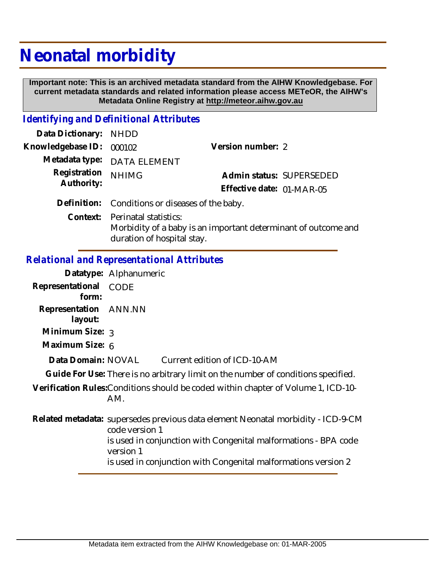## **Neonatal morbidity**

 **Important note: This is an archived metadata standard from the AIHW Knowledgebase. For current metadata standards and related information please access METeOR, the AIHW's Metadata Online Registry at http://meteor.aihw.gov.au**

## *Identifying and Definitional Attributes*

| Data Dictionary: NHDD      |                                                                                                  |                           |                          |
|----------------------------|--------------------------------------------------------------------------------------------------|---------------------------|--------------------------|
| Knowledgebase ID:          | 000102                                                                                           | Version number: 2         |                          |
|                            | Metadata type: DATA ELEMENT                                                                      |                           |                          |
| Registration<br>Authority: | <b>NHIMG</b>                                                                                     |                           | Admin status: SUPERSEDED |
|                            |                                                                                                  | Effective date: 01-MAR-05 |                          |
|                            | Definition: Conditions or diseases of the baby.                                                  |                           |                          |
|                            | Context: Perinatal statistics:<br>Morbidity of a baby is an important determinant of outcome and |                           |                          |

duration of hospital stay.

## *Relational and Representational Attributes*

|                                  | Datatype: Alphanumeric                                                                             |
|----------------------------------|----------------------------------------------------------------------------------------------------|
| Representational<br>form:        | CODE                                                                                               |
| Representation ANN.NN<br>layout: |                                                                                                    |
| Minimum Size: 3                  |                                                                                                    |
| Maximum Size: 6                  |                                                                                                    |
| Data Domain: NOVAL               | Current edition of ICD-10-AM                                                                       |
|                                  | Guide For Use: There is no arbitrary limit on the number of conditions specified.                  |
|                                  | Verification Rules: Conditions should be coded within chapter of Volume 1, ICD-10-<br>AM.          |
|                                  | Related metadata: supersedes previous data element Neonatal morbidity - ICD-9-CM<br>code version 1 |
|                                  | is used in conjunction with Congenital malformations - BPA code<br>version 1                       |
|                                  | is used in conjunction with Congenital malformations version 2                                     |